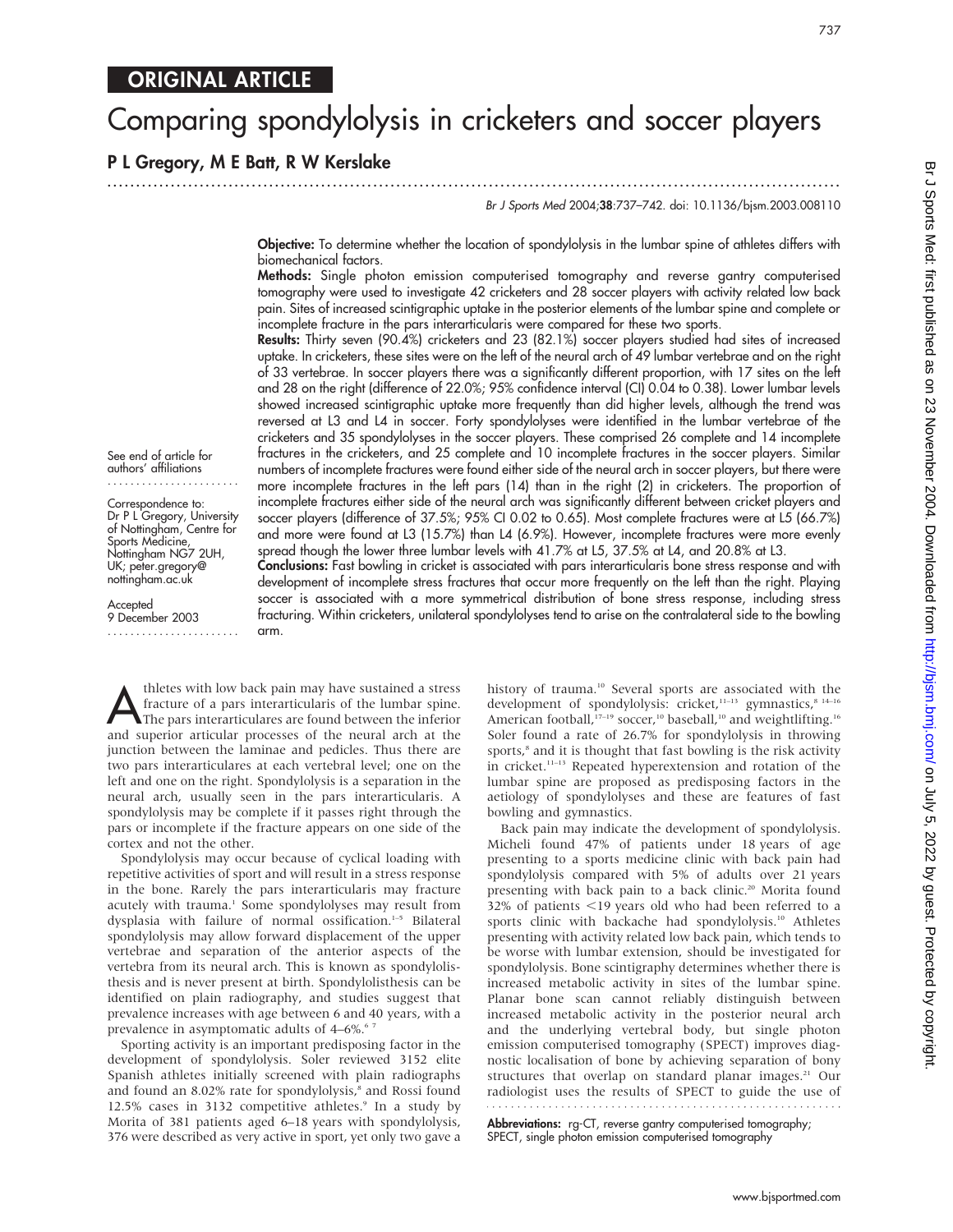# Comparing spondylolysis in cricketers and soccer players

## P L Gregory, M E Batt, R W Kerslake

...............................................................................................................................

Br J Sports Med 2004;38:737–742. doi: 10.1136/bjsm.2003.008110

Objective: To determine whether the location of spondylolysis in the lumbar spine of athletes differs with biomechanical factors.

Methods: Single photon emission computerised tomography and reverse gantry computerised tomography were used to investigate 42 cricketers and 28 soccer players with activity related low back pain. Sites of increased scintigraphic uptake in the posterior elements of the lumbar spine and complete or incomplete fracture in the pars interarticularis were compared for these two sports.

Results: Thirty seven (90.4%) cricketers and 23 (82.1%) soccer players studied had sites of increased uptake. In cricketers, these sites were on the left of the neural arch of 49 lumbar vertebrae and on the right of 33 vertebrae. In soccer players there was a significantly different proportion, with 17 sites on the left and 28 on the right (difference of 22.0%; 95% confidence interval (CI) 0.04 to 0.38). Lower lumbar levels showed increased scintigraphic uptake more frequently than did higher levels, although the trend was reversed at L3 and L4 in soccer. Forty spondylolyses were identified in the lumbar vertebrae of the cricketers and 35 spondylolyses in the soccer players. These comprised 26 complete and 14 incomplete fractures in the cricketers, and 25 complete and 10 incomplete fractures in the soccer players. Similar numbers of incomplete fractures were found either side of the neural arch in soccer players, but there were more incomplete fractures in the left pars (14) than in the right (2) in cricketers. The proportion of incomplete fractures either side of the neural arch was significantly different between cricket players and soccer players (difference of 37.5%; 95% CI 0.02 to 0.65). Most complete fractures were at L5 (66.7%) and more were found at L3 (15.7%) than L4 (6.9%). However, incomplete fractures were more evenly spread though the lower three lumbar levels with 41.7% at L5, 37.5% at L4, and 20.8% at L3.

Conclusions: Fast bowling in cricket is associated with pars interarticularis bone stress response and with development of incomplete stress fractures that occur more frequently on the left than the right. Playing soccer is associated with a more symmetrical distribution of bone stress response, including stress fracturing. Within cricketers, unilateral spondylolyses tend to arise on the contralateral side to the bowling arm.

See end of article for authors' affiliations .......................

Correspondence to: Dr P L Gregory, University of Nottingham, Centre for Sports Medicine, Nottingham NG7 2UH, UK; peter.gregory@ nottingham.ac.uk

**Accepted** 9 December 2003 .......................

thletes with low back pain may have sustained a stress<br>
The pars interarticularis of the lumbar spine.<br>
The pars interarticulares are found between the inferior<br>
and superior articular processes of the poural arch at the fracture of a pars interarticularis of the lumbar spine. and superior articular processes of the neural arch at the junction between the laminae and pedicles. Thus there are two pars interarticulares at each vertebral level; one on the left and one on the right. Spondylolysis is a separation in the neural arch, usually seen in the pars interarticularis. A spondylolysis may be complete if it passes right through the pars or incomplete if the fracture appears on one side of the cortex and not the other.

Spondylolysis may occur because of cyclical loading with repetitive activities of sport and will result in a stress response in the bone. Rarely the pars interarticularis may fracture acutely with trauma.<sup>1</sup> Some spondylolyses may result from dysplasia with failure of normal ossification.<sup>1-5</sup> Bilateral spondylolysis may allow forward displacement of the upper vertebrae and separation of the anterior aspects of the vertebra from its neural arch. This is known as spondylolisthesis and is never present at birth. Spondylolisthesis can be identified on plain radiography, and studies suggest that prevalence increases with age between 6 and 40 years, with a prevalence in asymptomatic adults of 4–6%.<sup>67</sup>

Sporting activity is an important predisposing factor in the development of spondylolysis. Soler reviewed 3152 elite Spanish athletes initially screened with plain radiographs and found an 8.02% rate for spondylolysis,<sup>8</sup> and Rossi found 12.5% cases in 3132 competitive athletes.<sup>9</sup> In a study by Morita of 381 patients aged 6–18 years with spondylolysis, 376 were described as very active in sport, yet only two gave a history of trauma.<sup>10</sup> Several sports are associated with the development of spondylolysis: cricket, $11-13$  gymnastics, $814-16$ American football,<sup>17-19</sup> soccer,<sup>10</sup> baseball,<sup>10</sup> and weightlifting.<sup>16</sup> Soler found a rate of 26.7% for spondylolysis in throwing sports,<sup>8</sup> and it is thought that fast bowling is the risk activity in cricket.<sup>11-13</sup> Repeated hyperextension and rotation of the lumbar spine are proposed as predisposing factors in the aetiology of spondylolyses and these are features of fast bowling and gymnastics.

Back pain may indicate the development of spondylolysis. Micheli found 47% of patients under 18 years of age presenting to a sports medicine clinic with back pain had spondylolysis compared with 5% of adults over 21 years presenting with back pain to a back clinic.<sup>20</sup> Morita found 32% of patients  $\leq$ 19 years old who had been referred to a sports clinic with backache had spondylolysis.<sup>10</sup> Athletes presenting with activity related low back pain, which tends to be worse with lumbar extension, should be investigated for spondylolysis. Bone scintigraphy determines whether there is increased metabolic activity in sites of the lumbar spine. Planar bone scan cannot reliably distinguish between increased metabolic activity in the posterior neural arch and the underlying vertebral body, but single photon emission computerised tomography (SPECT) improves diagnostic localisation of bone by achieving separation of bony structures that overlap on standard planar images.<sup>21</sup> Our radiologist uses the results of SPECT to guide the use of

Abbreviations: rg-CT, reverse gantry computerised tomography; SPECT, single photon emission computerised tomography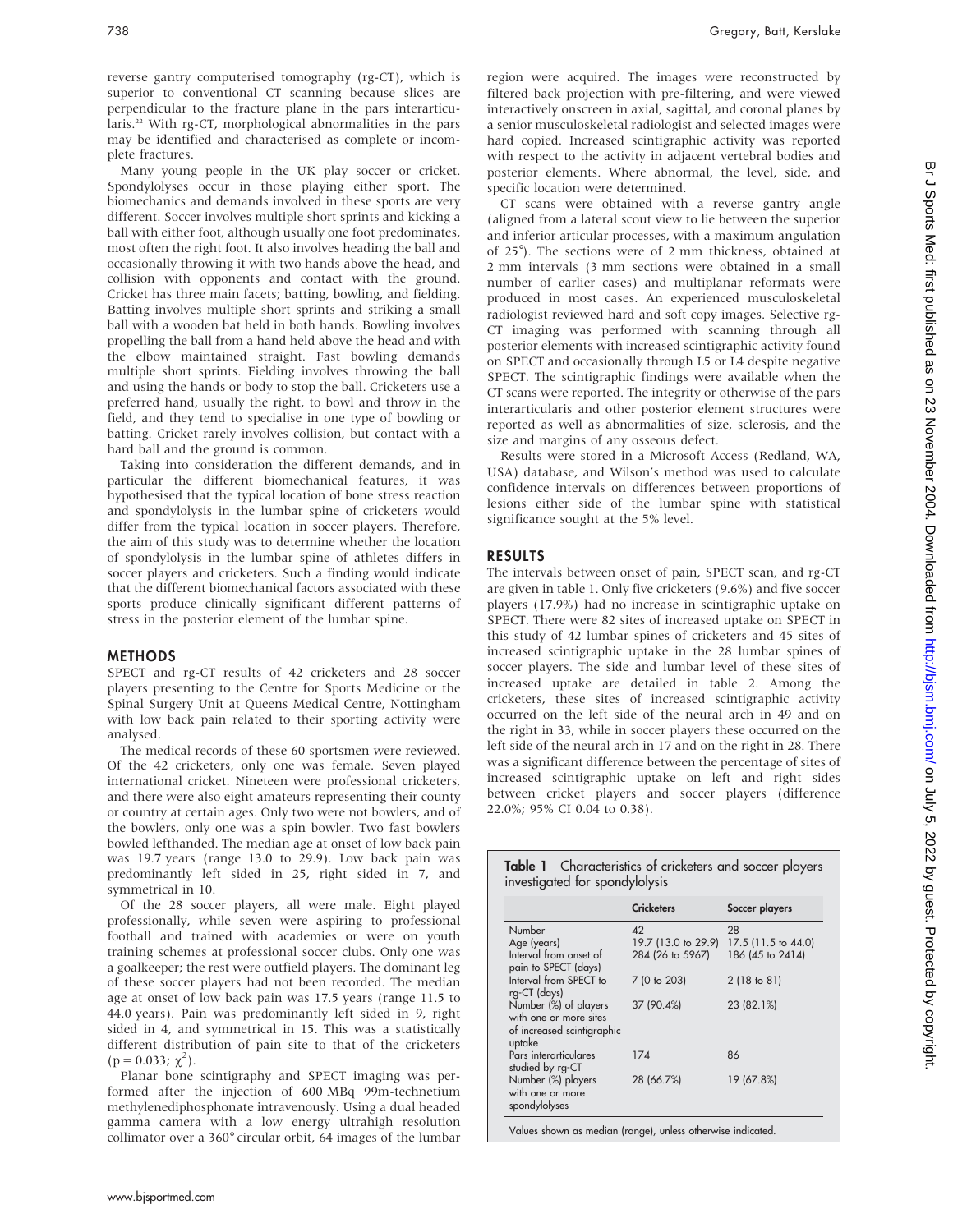reverse gantry computerised tomography (rg-CT), which is superior to conventional CT scanning because slices are perpendicular to the fracture plane in the pars interarticularis.22 With rg-CT, morphological abnormalities in the pars may be identified and characterised as complete or incomplete fractures.

Many young people in the UK play soccer or cricket. Spondylolyses occur in those playing either sport. The biomechanics and demands involved in these sports are very different. Soccer involves multiple short sprints and kicking a ball with either foot, although usually one foot predominates, most often the right foot. It also involves heading the ball and occasionally throwing it with two hands above the head, and collision with opponents and contact with the ground. Cricket has three main facets; batting, bowling, and fielding. Batting involves multiple short sprints and striking a small ball with a wooden bat held in both hands. Bowling involves propelling the ball from a hand held above the head and with the elbow maintained straight. Fast bowling demands multiple short sprints. Fielding involves throwing the ball and using the hands or body to stop the ball. Cricketers use a preferred hand, usually the right, to bowl and throw in the field, and they tend to specialise in one type of bowling or batting. Cricket rarely involves collision, but contact with a hard ball and the ground is common.

Taking into consideration the different demands, and in particular the different biomechanical features, it was hypothesised that the typical location of bone stress reaction and spondylolysis in the lumbar spine of cricketers would differ from the typical location in soccer players. Therefore, the aim of this study was to determine whether the location of spondylolysis in the lumbar spine of athletes differs in soccer players and cricketers. Such a finding would indicate that the different biomechanical factors associated with these sports produce clinically significant different patterns of stress in the posterior element of the lumbar spine.

#### METHODS

SPECT and rg-CT results of 42 cricketers and 28 soccer players presenting to the Centre for Sports Medicine or the Spinal Surgery Unit at Queens Medical Centre, Nottingham with low back pain related to their sporting activity were analysed.

The medical records of these 60 sportsmen were reviewed. Of the 42 cricketers, only one was female. Seven played international cricket. Nineteen were professional cricketers, and there were also eight amateurs representing their county or country at certain ages. Only two were not bowlers, and of the bowlers, only one was a spin bowler. Two fast bowlers bowled lefthanded. The median age at onset of low back pain was 19.7 years (range 13.0 to 29.9). Low back pain was predominantly left sided in 25, right sided in 7, and symmetrical in 10.

Of the 28 soccer players, all were male. Eight played professionally, while seven were aspiring to professional football and trained with academies or were on youth training schemes at professional soccer clubs. Only one was a goalkeeper; the rest were outfield players. The dominant leg of these soccer players had not been recorded. The median age at onset of low back pain was 17.5 years (range 11.5 to 44.0 years). Pain was predominantly left sided in 9, right sided in 4, and symmetrical in 15. This was a statistically different distribution of pain site to that of the cricketers  $(p = 0.033; \chi^2)$ .

Planar bone scintigraphy and SPECT imaging was performed after the injection of 600 MBq 99m-technetium methylenediphosphonate intravenously. Using a dual headed gamma camera with a low energy ultrahigh resolution collimator over a 360˚circular orbit, 64 images of the lumbar

CT scans were obtained with a reverse gantry angle (aligned from a lateral scout view to lie between the superior and inferior articular processes, with a maximum angulation of 25˚). The sections were of 2 mm thickness, obtained at 2 mm intervals (3 mm sections were obtained in a small number of earlier cases) and multiplanar reformats were produced in most cases. An experienced musculoskeletal radiologist reviewed hard and soft copy images. Selective rg-CT imaging was performed with scanning through all posterior elements with increased scintigraphic activity found on SPECT and occasionally through L5 or L4 despite negative SPECT. The scintigraphic findings were available when the CT scans were reported. The integrity or otherwise of the pars interarticularis and other posterior element structures were reported as well as abnormalities of size, sclerosis, and the size and margins of any osseous defect.

Results were stored in a Microsoft Access (Redland, WA, USA) database, and Wilson's method was used to calculate confidence intervals on differences between proportions of lesions either side of the lumbar spine with statistical significance sought at the 5% level.

#### RESULTS

The intervals between onset of pain, SPECT scan, and rg-CT are given in table 1. Only five cricketers (9.6%) and five soccer players (17.9%) had no increase in scintigraphic uptake on SPECT. There were 82 sites of increased uptake on SPECT in this study of 42 lumbar spines of cricketers and 45 sites of increased scintigraphic uptake in the 28 lumbar spines of soccer players. The side and lumbar level of these sites of increased uptake are detailed in table 2. Among the cricketers, these sites of increased scintigraphic activity occurred on the left side of the neural arch in 49 and on the right in 33, while in soccer players these occurred on the left side of the neural arch in 17 and on the right in 28. There was a significant difference between the percentage of sites of increased scintigraphic uptake on left and right sides between cricket players and soccer players (difference 22.0%; 95% CI 0.04 to 0.38).

|                                                                                         | <b>Cricketers</b>   | Soccer players         |
|-----------------------------------------------------------------------------------------|---------------------|------------------------|
| Number                                                                                  | $\Delta$            | 28                     |
| Age (years)                                                                             | 19.7 (13.0 to 29.9) | 17.5 (11.5 to 44.0)    |
| Interval from onset of<br>pain to SPECT (days)                                          | 284 (26 to 5967)    | 186 (45 to 2414)       |
| Interval from SPECT to<br>rg-CT (days)                                                  | 7 (0 to 203)        | $2(18 \text{ to } 81)$ |
| Number (%) of players<br>with one or more sites<br>of increased scintigraphic<br>uptake | 37 (90.4%)          | 23 (82.1%)             |
| Pars interarticulares<br>studied by rg-CT                                               | 174                 | 86                     |
| Number (%) players<br>with one or more<br>spondylolyses                                 | 28 (66.7%)          | 19 (67.8%)             |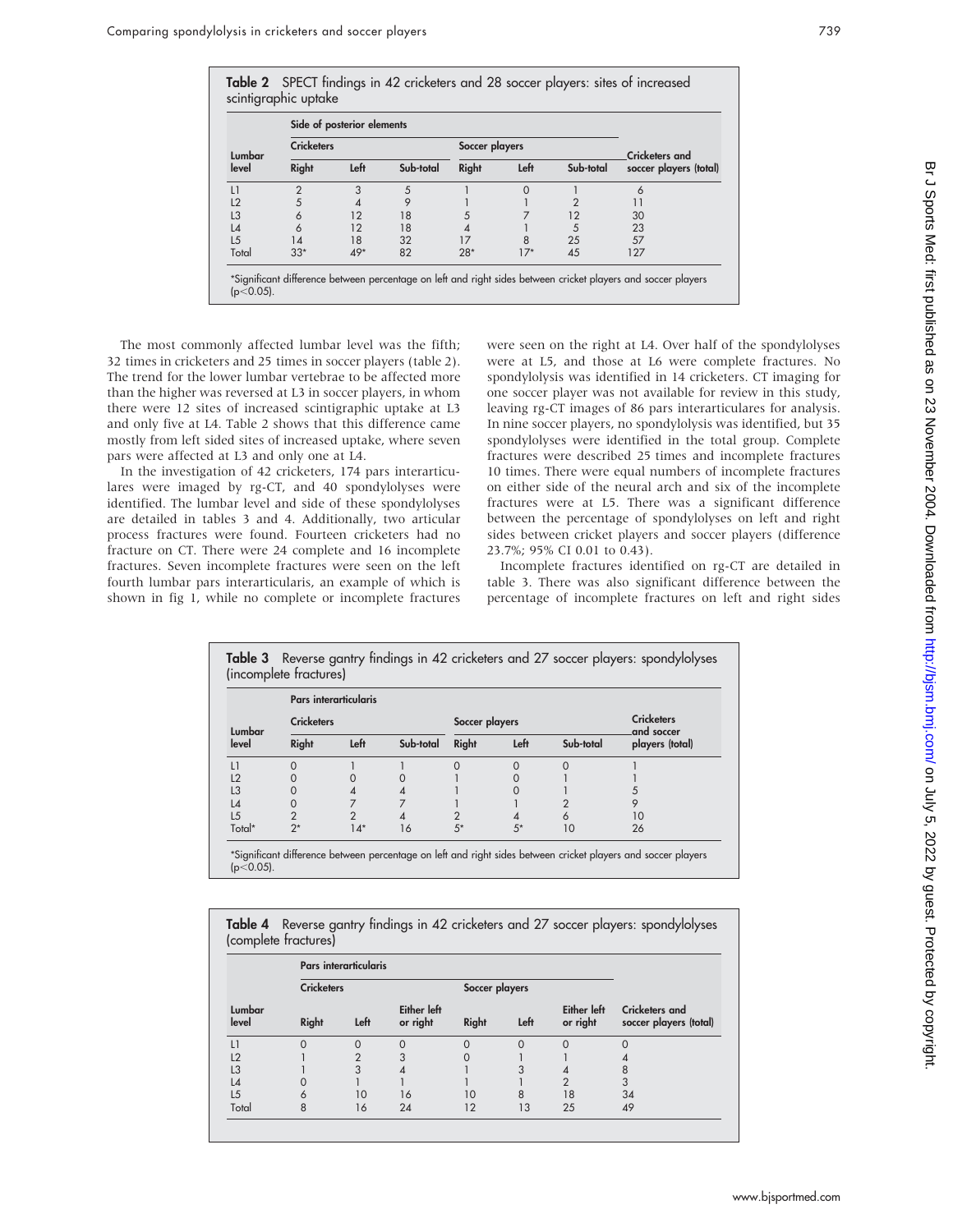| Lumbar<br>level | Side of posterior elements |                |           |                |          |           |                        |
|-----------------|----------------------------|----------------|-----------|----------------|----------|-----------|------------------------|
|                 | <b>Cricketers</b>          |                |           | Soccer players |          |           | <b>Cricketers and</b>  |
|                 | <b>Right</b>               | Left           | Sub-total | Right          | Left     | Sub-total | soccer players (total) |
| 1               | $\overline{2}$             | 3              | 5         |                | $\Omega$ |           | 6                      |
| L <sub>2</sub>  | 5                          | $\overline{A}$ | 9         |                |          |           |                        |
| L <sub>3</sub>  |                            | 12             | 18        | 5              |          | 12        | 30                     |
| $\mathsf{L}4$   | 6                          | 12             | 18        |                |          | 5         | 23                     |
| L5              | 14                         | 18             | 32        | 17             | 8        | 25        | 57                     |
| Total           | $33*$                      | $49*$          | 82        | $28*$          | $17*$    | 45        | 127                    |

The most commonly affected lumbar level was the fifth; 32 times in cricketers and 25 times in soccer players (table 2). The trend for the lower lumbar vertebrae to be affected more than the higher was reversed at L3 in soccer players, in whom there were 12 sites of increased scintigraphic uptake at L3 and only five at L4. Table 2 shows that this difference came mostly from left sided sites of increased uptake, where seven pars were affected at L3 and only one at L4.

In the investigation of 42 cricketers, 174 pars interarticulares were imaged by rg-CT, and 40 spondylolyses were identified. The lumbar level and side of these spondylolyses are detailed in tables 3 and 4. Additionally, two articular process fractures were found. Fourteen cricketers had no fracture on CT. There were 24 complete and 16 incomplete fractures. Seven incomplete fractures were seen on the left fourth lumbar pars interarticularis, an example of which is shown in fig 1, while no complete or incomplete fractures were seen on the right at L4. Over half of the spondylolyses were at L5, and those at L6 were complete fractures. No spondylolysis was identified in 14 cricketers. CT imaging for one soccer player was not available for review in this study, leaving rg-CT images of 86 pars interarticulares for analysis. In nine soccer players, no spondylolysis was identified, but 35 spondylolyses were identified in the total group. Complete fractures were described 25 times and incomplete fractures 10 times. There were equal numbers of incomplete fractures on either side of the neural arch and six of the incomplete fractures were at L5. There was a significant difference between the percentage of spondylolyses on left and right sides between cricket players and soccer players (difference 23.7%; 95% CI 0.01 to 0.43).

Incomplete fractures identified on rg-CT are detailed in table 3. There was also significant difference between the percentage of incomplete fractures on left and right sides

| Lumbar<br>level | Pars interarticularis |               |           |                |          |           |                                 |
|-----------------|-----------------------|---------------|-----------|----------------|----------|-----------|---------------------------------|
|                 | <b>Cricketers</b>     |               |           | Soccer players |          |           | <b>Cricketers</b><br>and soccer |
|                 | <b>Right</b>          | Left          | Sub-total | Right          | Left     | Sub-total | players (total)                 |
| 1               | Ω                     |               |           |                | $\Omega$ |           |                                 |
| L2              |                       |               |           |                |          |           |                                 |
| L3              |                       | 4             | 4         |                |          |           |                                 |
| $\mathsf{L}4$   |                       |               |           |                |          |           |                                 |
| L <sub>5</sub>  | $\overline{2}$        | $\mathcal{P}$ |           |                | 4        | 6         | 10                              |
| Total*          | $2^*$                 | $14*$         | 16        | $5*$           | $5*$     | 10        | 26                              |

Table 4 Reverse gantry findings in 42 cricketers and 27 soccer players: spondylolyses (complete fractures)

| Lumbar<br>level | Pars interarticularis |      |                                |                |      |                         |                                          |
|-----------------|-----------------------|------|--------------------------------|----------------|------|-------------------------|------------------------------------------|
|                 | <b>Cricketers</b>     |      |                                | Soccer players |      |                         |                                          |
|                 | Right                 | Left | <b>Either left</b><br>or right | Right          | Left | Either left<br>or right | Cricketers and<br>soccer players (total) |
| L1              |                       |      |                                |                |      |                         |                                          |
| L <sub>2</sub>  |                       |      |                                |                |      |                         |                                          |
| L <sub>3</sub>  |                       | 3    |                                |                |      |                         |                                          |
| L4              |                       |      |                                |                |      | ◠                       |                                          |
| L5              | 6                     | 10   | 16                             | 10             | 8    | 18                      | 34                                       |
| Total           | 8                     | 16   | 24                             | 12             | 13   | 25                      | 49                                       |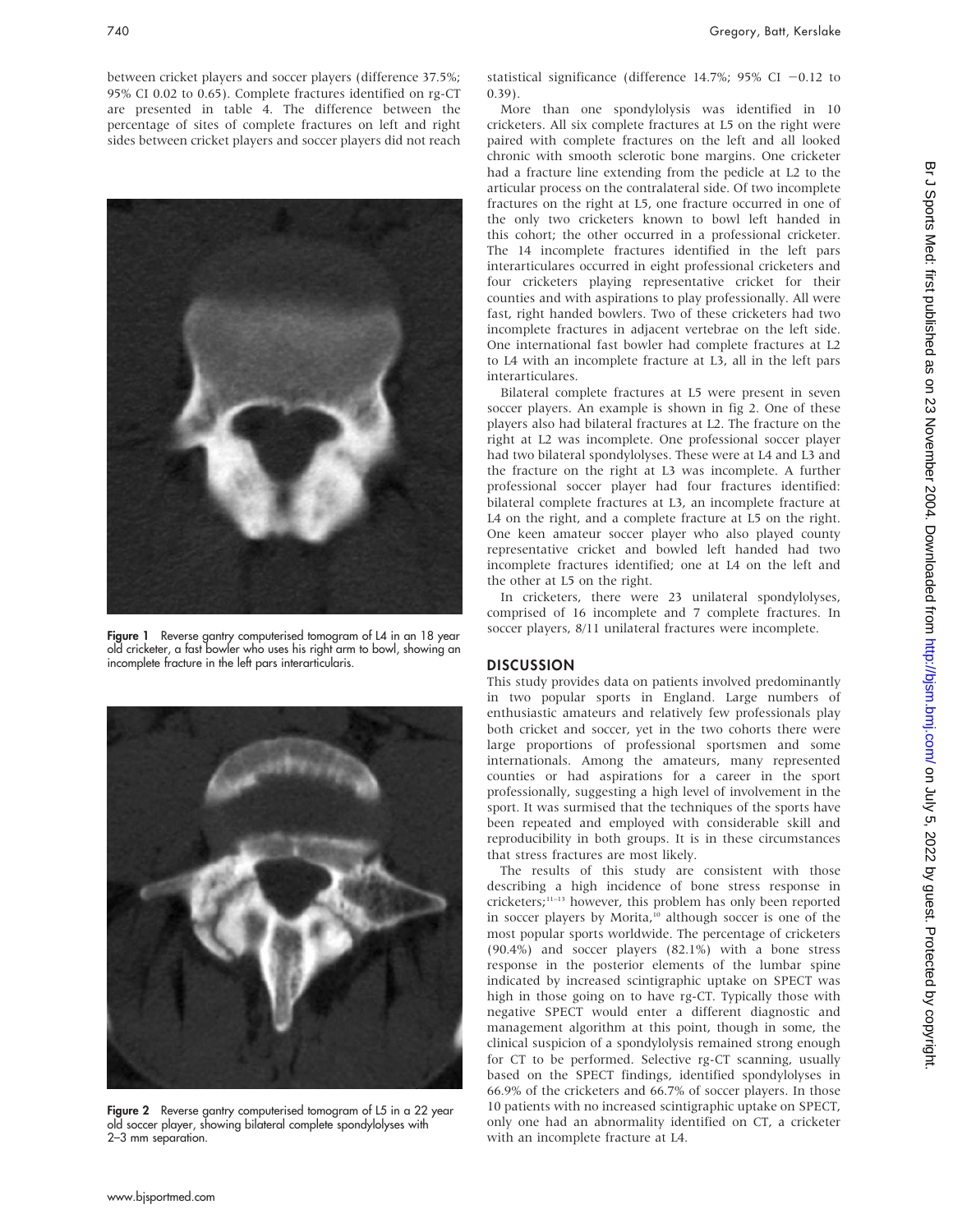between cricket players and soccer players (difference 37.5%; 95% CI 0.02 to 0.65). Complete fractures identified on rg-CT are presented in table 4. The difference between the percentage of sites of complete fractures on left and right sides between cricket players and soccer players did not reach



Figure 1 Reverse gantry computerised tomogram of L4 in an 18 year old cricketer, a fast bowler who uses his right arm to bowl, showing an incomplete fracture in the left pars interarticularis.



Figure 2 Reverse gantry computerised tomogram of L5 in a 22 year old soccer player, showing bilateral complete spondylolyses with 2–3 mm separation.

statistical significance (difference 14.7%; 95% CI  $-0.12$  to 0.39).

More than one spondylolysis was identified in 10 cricketers. All six complete fractures at L5 on the right were paired with complete fractures on the left and all looked chronic with smooth sclerotic bone margins. One cricketer had a fracture line extending from the pedicle at L2 to the articular process on the contralateral side. Of two incomplete fractures on the right at L5, one fracture occurred in one of the only two cricketers known to bowl left handed in this cohort; the other occurred in a professional cricketer. The 14 incomplete fractures identified in the left pars interarticulares occurred in eight professional cricketers and four cricketers playing representative cricket for their counties and with aspirations to play professionally. All were fast, right handed bowlers. Two of these cricketers had two incomplete fractures in adjacent vertebrae on the left side. One international fast bowler had complete fractures at L2 to L4 with an incomplete fracture at L3, all in the left pars interarticulares.

Bilateral complete fractures at L5 were present in seven soccer players. An example is shown in fig 2. One of these players also had bilateral fractures at L2. The fracture on the right at L2 was incomplete. One professional soccer player had two bilateral spondylolyses. These were at L4 and L3 and the fracture on the right at L3 was incomplete. A further professional soccer player had four fractures identified: bilateral complete fractures at L3, an incomplete fracture at L4 on the right, and a complete fracture at L5 on the right. One keen amateur soccer player who also played county representative cricket and bowled left handed had two incomplete fractures identified; one at L4 on the left and the other at L5 on the right.

In cricketers, there were 23 unilateral spondylolyses, comprised of 16 incomplete and 7 complete fractures. In soccer players, 8/11 unilateral fractures were incomplete.

#### **DISCUSSION**

This study provides data on patients involved predominantly in two popular sports in England. Large numbers of enthusiastic amateurs and relatively few professionals play both cricket and soccer, yet in the two cohorts there were large proportions of professional sportsmen and some internationals. Among the amateurs, many represented counties or had aspirations for a career in the sport professionally, suggesting a high level of involvement in the sport. It was surmised that the techniques of the sports have been repeated and employed with considerable skill and reproducibility in both groups. It is in these circumstances that stress fractures are most likely.

The results of this study are consistent with those describing a high incidence of bone stress response in cricketers;11–13 however, this problem has only been reported in soccer players by Morita,<sup>10</sup> although soccer is one of the most popular sports worldwide. The percentage of cricketers (90.4%) and soccer players (82.1%) with a bone stress response in the posterior elements of the lumbar spine indicated by increased scintigraphic uptake on SPECT was high in those going on to have rg-CT. Typically those with negative SPECT would enter a different diagnostic and management algorithm at this point, though in some, the clinical suspicion of a spondylolysis remained strong enough for CT to be performed. Selective rg-CT scanning, usually based on the SPECT findings, identified spondylolyses in 66.9% of the cricketers and 66.7% of soccer players. In those 10 patients with no increased scintigraphic uptake on SPECT, only one had an abnormality identified on CT, a cricketer with an incomplete fracture at L4.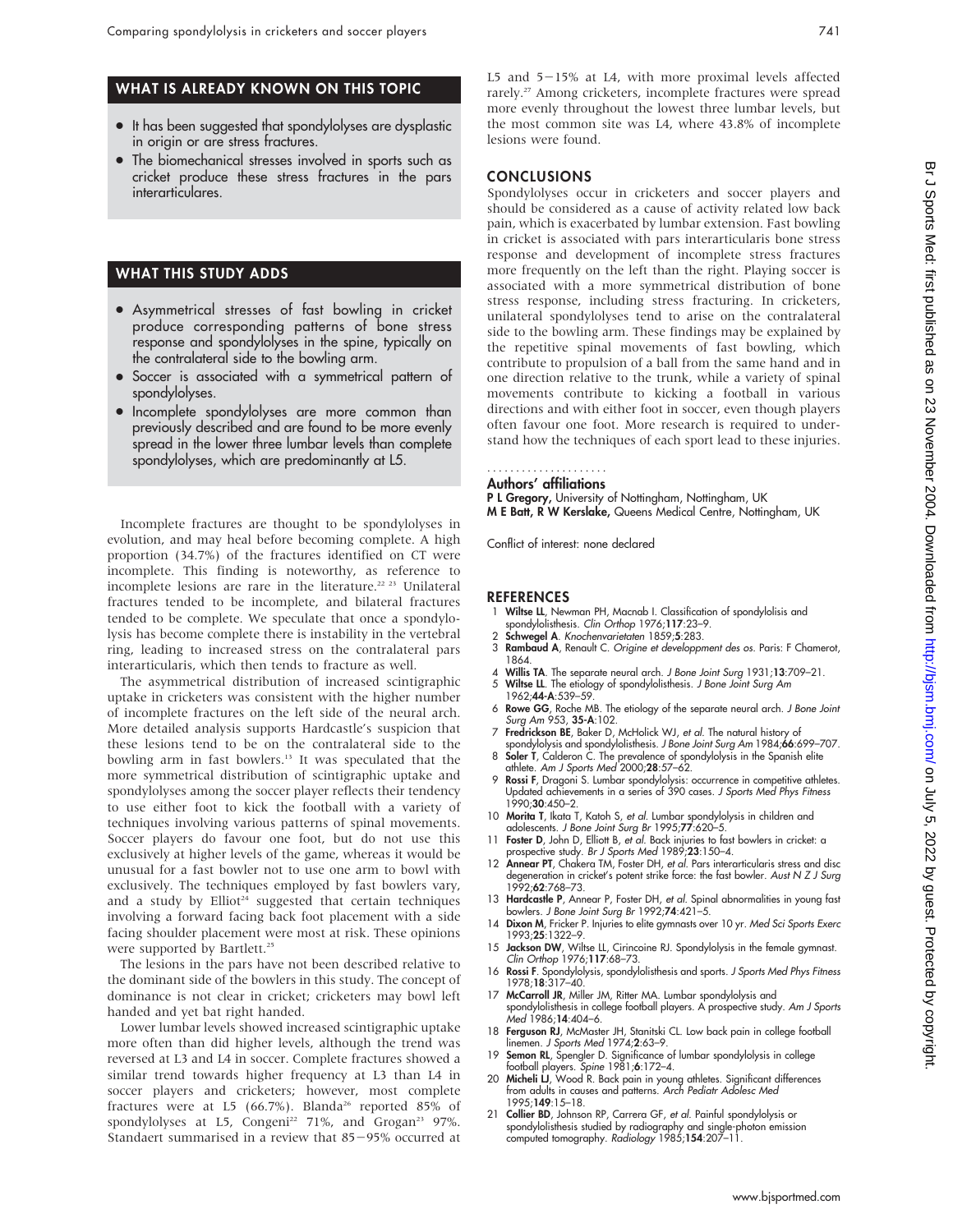#### WHAT IS ALREADY KNOWN ON THIS TOPIC

- It has been suggested that spondylolyses are dysplastic in origin or are stress fractures.
- The biomechanical stresses involved in sports such as cricket produce these stress fractures in the pars interarticulares.

# WHAT THIS STUDY ADDS

- Asymmetrical stresses of fast bowling in cricket produce corresponding patterns of bone stress response and spondylolyses in the spine, typically on the contralateral side to the bowling arm.
- Soccer is associated with a symmetrical pattern of spondylolyses.
- Incomplete spondylolyses are more common than previously described and are found to be more evenly spread in the lower three lumbar levels than complete spondylolyses, which are predominantly at L5.

Incomplete fractures are thought to be spondylolyses in evolution, and may heal before becoming complete. A high proportion (34.7%) of the fractures identified on CT were incomplete. This finding is noteworthy, as reference to incomplete lesions are rare in the literature.<sup>22 23</sup> Unilateral fractures tended to be incomplete, and bilateral fractures tended to be complete. We speculate that once a spondylolysis has become complete there is instability in the vertebral ring, leading to increased stress on the contralateral pars interarticularis, which then tends to fracture as well.

The asymmetrical distribution of increased scintigraphic uptake in cricketers was consistent with the higher number of incomplete fractures on the left side of the neural arch. More detailed analysis supports Hardcastle's suspicion that these lesions tend to be on the contralateral side to the bowling arm in fast bowlers.13 It was speculated that the more symmetrical distribution of scintigraphic uptake and spondylolyses among the soccer player reflects their tendency to use either foot to kick the football with a variety of techniques involving various patterns of spinal movements. Soccer players do favour one foot, but do not use this exclusively at higher levels of the game, whereas it would be unusual for a fast bowler not to use one arm to bowl with exclusively. The techniques employed by fast bowlers vary, and a study by Elliot<sup>24</sup> suggested that certain techniques involving a forward facing back foot placement with a side facing shoulder placement were most at risk. These opinions were supported by Bartlett.<sup>25</sup>

The lesions in the pars have not been described relative to the dominant side of the bowlers in this study. The concept of dominance is not clear in cricket; cricketers may bowl left handed and yet bat right handed.

Lower lumbar levels showed increased scintigraphic uptake more often than did higher levels, although the trend was reversed at L3 and L4 in soccer. Complete fractures showed a similar trend towards higher frequency at L3 than L4 in soccer players and cricketers; however, most complete fractures were at L5 (66.7%). Blanda<sup>26</sup> reported 85% of spondylolyses at L5, Congeni<sup>22</sup> 71%, and Grogan<sup>23</sup> 97%. Standaert summarised in a review that  $85-95%$  occurred at L5 and  $5-15\%$  at L4, with more proximal levels affected rarely.<sup>27</sup> Among cricketers, incomplete fractures were spread more evenly throughout the lowest three lumbar levels, but the most common site was L4, where 43.8% of incomplete lesions were found.

#### **CONCLUSIONS**

Spondylolyses occur in cricketers and soccer players and should be considered as a cause of activity related low back pain, which is exacerbated by lumbar extension. Fast bowling in cricket is associated with pars interarticularis bone stress response and development of incomplete stress fractures more frequently on the left than the right. Playing soccer is associated with a more symmetrical distribution of bone stress response, including stress fracturing. In cricketers, unilateral spondylolyses tend to arise on the contralateral side to the bowling arm. These findings may be explained by the repetitive spinal movements of fast bowling, which contribute to propulsion of a ball from the same hand and in one direction relative to the trunk, while a variety of spinal movements contribute to kicking a football in various directions and with either foot in soccer, even though players often favour one foot. More research is required to understand how the techniques of each sport lead to these injuries.

#### Authors' affiliations .....................

P L Gregory, University of Nottingham, Nottingham, UK M E Batt, R W Kerslake, Queens Medical Centre, Nottingham, UK

Conflict of interest: none declared

#### **REFERENCES**

- 1 Wiltse LL, Newman PH, Macnab I. Classification of spondylolisis and spondylolisthesis. Clin Orthop 1976;117:23–9.
- 2 Schwegel A. Knochenvarietaten 1859;5:283.
- 3 Rambaud A, Renault C. Origine et developpment des os. Paris: F Chamerot, 1864.
- 4 Willis TA. The separate neural arch. J Bone Joint Surg 1931;13:709–21.
- 5 Wiltse LL. The etiology of spondylolisthesis. J Bone Joint Surg Am 1962;44-A:539–59.
- 6 Rowe GG, Roche MB. The etiology of the separate neural arch. J Bone Joint Surg Am 953, 35-A:102.
- 7 **Fredrickson BE**, Baker D, McHolick WJ, *et al.* The natural history of<br>spondylolysis and spondylolisthesis. *J Bone Joint Surg Am* 1984;**66**:699–707.<br>8 **Soler T**, Calderon C. The prevalence of spondylolysis in the Spani
- athlete. Am J Sports Med 2000;28:57–62.
- 9 Rossi F, Dragoni S. Lumbar spondylolysis: occurrence in competitive athletes. Updated achievements in a series of 390 cases. J Sports Med Phys Fitness 1990;30:450–2.
- 10 Morita T, Ikata T, Katoh S, et al. Lumbar spondylolysis in children and
- adolescents. *J Bone Joint Surg Br* 1995;**77**:620–5.<br>11 **Foster D**, John D, Elliott B, *et al.* Back injuries to fast bowlers in cricket: a<br>prospective study. *Br J Sports Med* 1989;**23**:150–4.
- 12 **Annear PT**, Chakera TM, Foster DH, et al. Pars interarticularis stress and disc degeneration in cricket's potent strike force: the fast bowler. Aust N Z J Surg 1992;62:768–73.
- 13 Hardcastle P, Annear P, Foster DH, et al. Spinal abnormalities in young fast bowlers. J Bone Joint Surg Br 1992;74:421–5.
- 14 Dixon M, Fricker P. Injuries to elite gymnasts over 10 yr. Med Sci Sports Exerc 1993;25:1322–9.
- 15 Jackson DW, Wiltse LL, Cirincoine RJ. Spondylolysis in the female gymnast. Clin Orthop 1976;117:68–73.
- 16 Rossi F. Spondylolysis, spondylolisthesis and sports. J Sports Med Phys Fitness 1978;18:317–40.
- 17 McCarroll JR, Miller JM, Ritter MA. Lumbar spondylolysis and spondylolisthesis in college football players. A prospective study. Am J Sports Med 1986;14:404–6.
- 18 Ferguson RJ, McMaster JH, Stanitski CL. Low back pain in college football linemen. J Sports Med 1974;2:63-9.
- 19 Semon RL, Spengler D. Significance of lumbar spondylolysis in college football players. Spine 1981;6:172–4.
- 20 Micheli LJ, Wood R. Back pain in young athletes. Significant differences from adults in causes and patterns. Arch Pediatr Adolesc Med 1995;149:15–18.
- 21 Collier BD, Johnson RP, Carrera GF, et al. Painful spondylolysis or spondylolisthesis studied by radiography and single-photon emission<br>computed tomography. *Radiology* 1985;**154**:207–11.